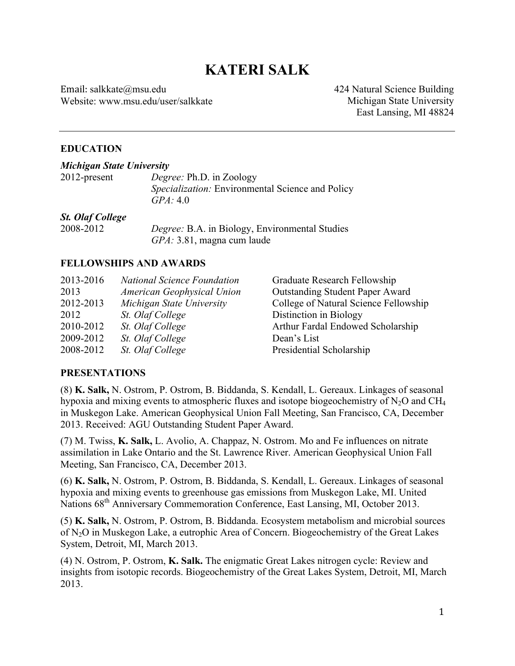# **KATERI SALK**

Email: salkkate@msu.edu Website: www.msu.edu/user/salkkate 424 Natural Science Building Michigan State University East Lansing, MI 48824

#### **EDUCATION**

| Michigan State University |                                                                                                 |  |
|---------------------------|-------------------------------------------------------------------------------------------------|--|
| $2012$ -present           | <i>Degree:</i> Ph.D. in Zoology<br>Specialization: Environmental Science and Policy<br>GPA: 4.0 |  |
| <b>St. Olaf College</b>   |                                                                                                 |  |
| 2008-2012                 | Degree: B.A. in Biology, Environmental Studies                                                  |  |
|                           | GPA: 3.81, magna cum laude                                                                      |  |

#### **FELLOWSHIPS AND AWARDS**

| 2013-2016 | <b>National Science Foundation</b> | Graduate Research Fellowship           |
|-----------|------------------------------------|----------------------------------------|
| 2013      | American Geophysical Union         | <b>Outstanding Student Paper Award</b> |
| 2012-2013 | Michigan State University          | College of Natural Science Fellowship  |
| 2012      | St. Olaf College                   | Distinction in Biology                 |
| 2010-2012 | St. Olaf College                   | Arthur Fardal Endowed Scholarship      |
| 2009-2012 | St. Olaf College                   | Dean's List                            |
| 2008-2012 | St. Olaf College                   | Presidential Scholarship               |

#### **PRESENTATIONS**

(8) **K. Salk,** N. Ostrom, P. Ostrom, B. Biddanda, S. Kendall, L. Gereaux. Linkages of seasonal hypoxia and mixing events to atmospheric fluxes and isotope biogeochemistry of  $N_2O$  and CH<sub>4</sub> in Muskegon Lake. American Geophysical Union Fall Meeting, San Francisco, CA, December 2013. Received: AGU Outstanding Student Paper Award.

(7) M. Twiss, **K. Salk,** L. Avolio, A. Chappaz, N. Ostrom. Mo and Fe influences on nitrate assimilation in Lake Ontario and the St. Lawrence River. American Geophysical Union Fall Meeting, San Francisco, CA, December 2013.

(6) **K. Salk,** N. Ostrom, P. Ostrom, B. Biddanda, S. Kendall, L. Gereaux. Linkages of seasonal hypoxia and mixing events to greenhouse gas emissions from Muskegon Lake, MI. United Nations 68<sup>th</sup> Anniversary Commemoration Conference, East Lansing, MI, October 2013.

(5) **K. Salk,** N. Ostrom, P. Ostrom, B. Biddanda. Ecosystem metabolism and microbial sources of N2O in Muskegon Lake, a eutrophic Area of Concern. Biogeochemistry of the Great Lakes System, Detroit, MI, March 2013.

(4) N. Ostrom, P. Ostrom, **K. Salk.** The enigmatic Great Lakes nitrogen cycle: Review and insights from isotopic records. Biogeochemistry of the Great Lakes System, Detroit, MI, March 2013.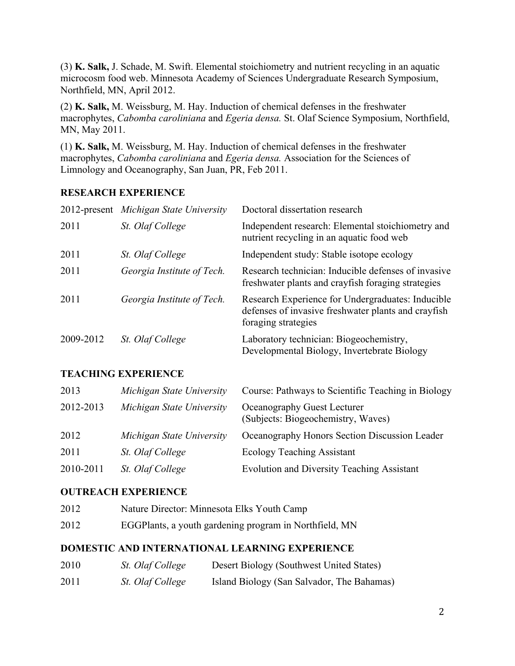(3) **K. Salk,** J. Schade, M. Swift. Elemental stoichiometry and nutrient recycling in an aquatic microcosm food web. Minnesota Academy of Sciences Undergraduate Research Symposium, Northfield, MN, April 2012.

(2) **K. Salk,** M. Weissburg, M. Hay. Induction of chemical defenses in the freshwater macrophytes, *Cabomba caroliniana* and *Egeria densa.* St. Olaf Science Symposium, Northfield, MN, May 2011.

(1) **K. Salk,** M. Weissburg, M. Hay. Induction of chemical defenses in the freshwater macrophytes, *Cabomba caroliniana* and *Egeria densa.* Association for the Sciences of Limnology and Oceanography, San Juan, PR, Feb 2011.

## **RESEARCH EXPERIENCE**

|           | 2012-present Michigan State University | Doctoral dissertation research                                                                                                  |
|-----------|----------------------------------------|---------------------------------------------------------------------------------------------------------------------------------|
| 2011      | St. Olaf College                       | Independent research: Elemental stoichiometry and<br>nutrient recycling in an aquatic food web                                  |
| 2011      | St. Olaf College                       | Independent study: Stable isotope ecology                                                                                       |
| 2011      | Georgia Institute of Tech.             | Research technician: Inducible defenses of invasive<br>freshwater plants and crayfish foraging strategies                       |
| 2011      | Georgia Institute of Tech.             | Research Experience for Undergraduates: Inducible<br>defenses of invasive freshwater plants and crayfish<br>foraging strategies |
| 2009-2012 | St. Olaf College                       | Laboratory technician: Biogeochemistry,<br>Developmental Biology, Invertebrate Biology                                          |

## **TEACHING EXPERIENCE**

| 2013      | Michigan State University | Course: Pathways to Scientific Teaching in Biology                |
|-----------|---------------------------|-------------------------------------------------------------------|
| 2012-2013 | Michigan State University | Oceanography Guest Lecturer<br>(Subjects: Biogeochemistry, Waves) |
| 2012      | Michigan State University | Oceanography Honors Section Discussion Leader                     |
| 2011      | St. Olaf College          | <b>Ecology Teaching Assistant</b>                                 |
| 2010-2011 | St. Olaf College          | <b>Evolution and Diversity Teaching Assistant</b>                 |

## **OUTREACH EXPERIENCE**

- 2012 Nature Director: Minnesota Elks Youth Camp
- 2012 EGGPlants, a youth gardening program in Northfield, MN

## **DOMESTIC AND INTERNATIONAL LEARNING EXPERIENCE**

| 2010 | <i>St. Olaf College</i> | Desert Biology (Southwest United States)   |
|------|-------------------------|--------------------------------------------|
| 2011 | <i>St. Olaf College</i> | Island Biology (San Salvador, The Bahamas) |